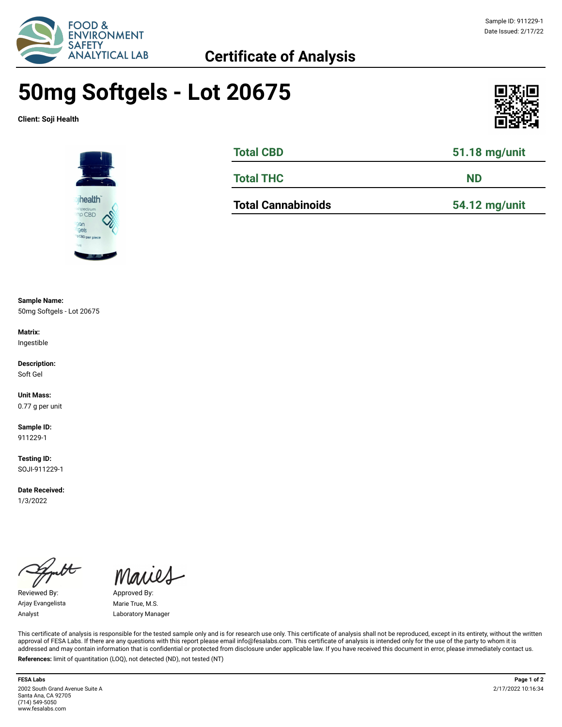

## **50mg Softgels - Lot 20675**

**Client: Soji Health**





| <b>Total CBD</b> | 51.18 mg/unit |  |  |
|------------------|---------------|--|--|
| <b>Total THC</b> | <b>ND</b>     |  |  |

**Total Cannabinoids 54.12 mg/unit**

**Sample Name:**  50mg Softgels - Lot 20675

**Matrix:** Ingestible

**Description:** Soft Gel

**Unit Mass:**  0.77 g per unit

**Sample ID:**  911229-1

**Testing ID:**  SOJI-911229-1

**Date Received:**  1/3/2022

 $\overline{\mathcal{H}}$ 

Reviewed By: Approved By: Arjay Evangelista Marie True, M.S.

Maries

Analyst Laboratory Manager

This certificate of analysis is responsible for the tested sample only and is for research use only. This certificate of analysis shall not be reproduced, except in its entirety, without the written approval of FESA Labs. If there are any questions with this report please email info@fesalabs.com. This certificate of analysis is intended only for the use of the party to whom it is addressed and may contain information that is confidential or protected from disclosure under applicable law. If you have received this document in error, please immediately contact us. **References:** limit of quantitation (LOQ), not detected (ND), not tested (NT)

**FESA Labs Page 1 of 2** 2002 South Grand Avenue Suite A Santa Ana, CA 92705 (714) 549-5050 www.fesalabs.com